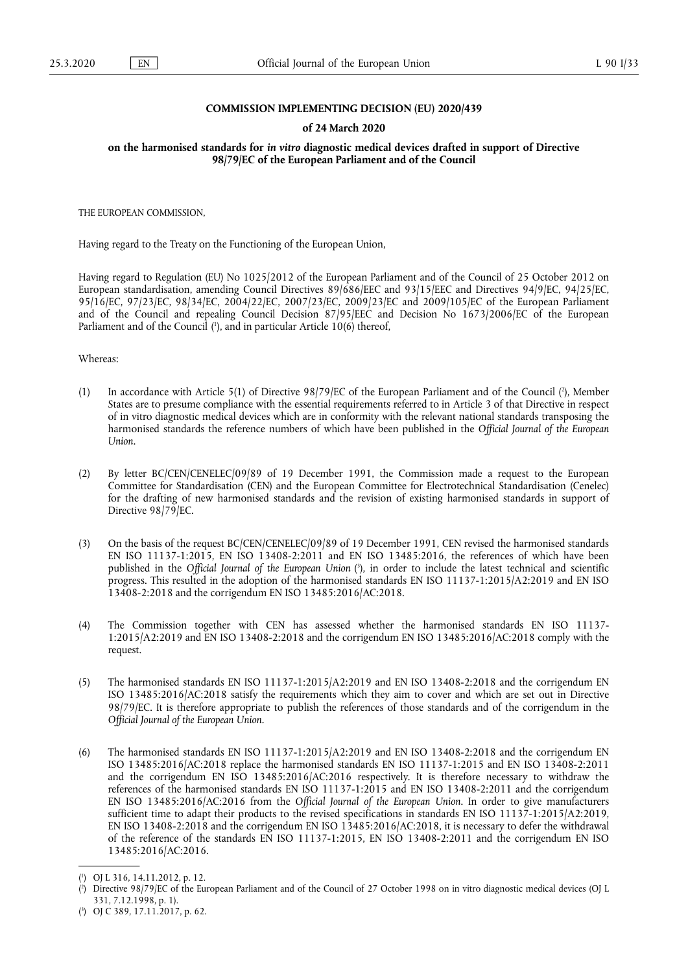### **COMMISSION IMPLEMENTING DECISION (EU) 2020/439**

#### **of 24 March 2020**

**on the harmonised standards for** *in vitro* **diagnostic medical devices drafted in support of Directive 98/79/EC of the European Parliament and of the Council** 

THE EUROPEAN COMMISSION,

Having regard to the Treaty on the Functioning of the European Union,

Having regard to Regulation (EU) No 1025/2012 of the European Parliament and of the Council of 25 October 2012 on European standardisation, amending Council Directives 89/686/EEC and 93/15/EEC and Directives 94/9/EC, 94/25/EC, 95/16/EC, 97/23/EC, 98/34/EC, 2004/22/EC, 2007/23/EC, 2009/23/EC and 2009/105/EC of the European Parliament and of the Council and repealing Council Decision 87/95/EEC and Decision No 1673/2006/EC of the European Parliament and of the Council (<sup>1</sup>[\), and in particular Article 10\(6\) thereof,](#page-0-0)

<span id="page-0-3"></span>Whereas:

- <span id="page-0-4"></span>(1) In accordance with Article 5(1) of Directive 98/79/EC of the European Parliament and of the Council ( 2 [\), Member](#page-0-1) States are to presume compliance with the essential requirements referred to in Article 3 of that Directive in respect of in vitro diagnostic medical devices which are in conformity with the relevant national standards transposing the harmonised standards the reference numbers of which have been published in the *Official Journal of the European Union.*
- (2) By letter BC/CEN/CENELEC/09/89 of 19 December 1991, the Commission made a request to the European Committee for Standardisation (CEN) and the European Committee for Electrotechnical Standardisation (Cenelec) for the drafting of new harmonised standards and the revision of existing harmonised standards in support of Directive 98/79/EC.
- <span id="page-0-5"></span>(3) On the basis of the request BC/CEN/CENELEC/09/89 of 19 December 1991, CEN revised the harmonised standards EN ISO 11137-1:2015, EN ISO 13408-2:2011 and EN ISO 13485:2016, the references of which have been published in the *Official Journal of the European Union* ( 3 [\), in order to include the latest technical and scientific](#page-0-2) progress. This resulted in the adoption of the harmonised standards EN ISO 11137-1:2015/A2:2019 and EN ISO 13408-2:2018 and the corrigendum EN ISO 13485:2016/AC:2018.
- (4) The Commission together with CEN has assessed whether the harmonised standards EN ISO 11137- 1:2015/A2:2019 and EN ISO 13408-2:2018 and the corrigendum EN ISO 13485:2016/AC:2018 comply with the request.
- (5) The harmonised standards EN ISO 11137-1:2015/A2:2019 and EN ISO 13408-2:2018 and the corrigendum EN ISO 13485:2016/AC:2018 satisfy the requirements which they aim to cover and which are set out in Directive 98/79/EC. It is therefore appropriate to publish the references of those standards and of the corrigendum in the *Official Journal of the European Union*.
- (6) The harmonised standards EN ISO 11137-1:2015/A2:2019 and EN ISO 13408-2:2018 and the corrigendum EN ISO 13485:2016/AC:2018 replace the harmonised standards EN ISO 11137-1:2015 and EN ISO 13408-2:2011 and the corrigendum EN ISO 13485:2016/AC:2016 respectively. It is therefore necessary to withdraw the references of the harmonised standards EN ISO 11137-1:2015 and EN ISO 13408-2:2011 and the corrigendum EN ISO 13485:2016/AC:2016 from the *Official Journal of the European Union*. In order to give manufacturers sufficient time to adapt their products to the revised specifications in standards EN ISO 11137-1:2015/A2:2019, EN ISO 13408-2:2018 and the corrigendum EN ISO 13485:2016/AC:2018, it is necessary to defer the withdrawal of the reference of the standards EN ISO 11137-1:2015, EN ISO 13408-2:2011 and the corrigendum EN ISO 13485:2016/AC:2016.

<span id="page-0-0"></span>[<sup>\(</sup>](#page-0-3) 1 ) OJ L 316, 14.11.2012, p. 12.

<span id="page-0-1"></span>[<sup>\(</sup>](#page-0-4) 2 ) Directive 98/79/EC of the European Parliament and of the Council of 27 October 1998 on in vitro diagnostic medical devices (OJ L 331, 7.12.1998, p. 1).

<span id="page-0-2"></span><sup>(</sup> 3 [\)](#page-0-5) OJ C 389, 17.11.2017, p. 62.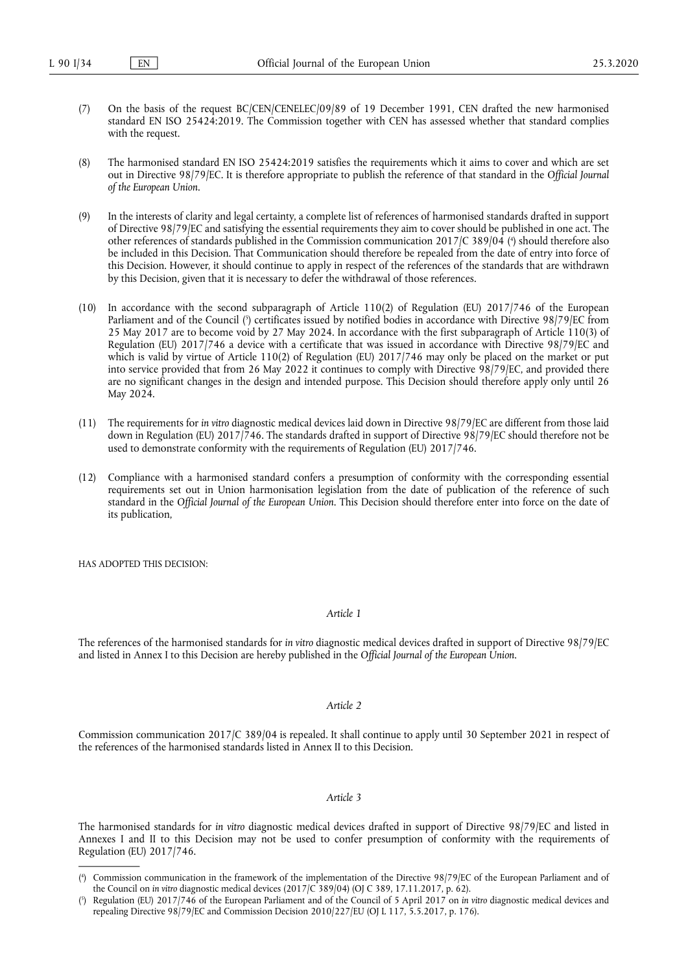- (7) On the basis of the request BC/CEN/CENELEC/09/89 of 19 December 1991, CEN drafted the new harmonised standard EN ISO 25424:2019. The Commission together with CEN has assessed whether that standard complies with the request.
- (8) The harmonised standard EN ISO 25424:2019 satisfies the requirements which it aims to cover and which are set out in Directive 98/79/EC. It is therefore appropriate to publish the reference of that standard in the *Official Journal of the European Union*.
- <span id="page-1-2"></span>(9) In the interests of clarity and legal certainty, a complete list of references of harmonised standards drafted in support of Directive 98/79/EC and satisfying the essential requirements they aim to cover should be published in one act. The other references of standards published in the Commission communication 2017/C 389/04 ( 4 [\) should therefore also](#page-1-0) be included in this Decision. That Communication should therefore be repealed from the date of entry into force of this Decision. However, it should continue to apply in respect of the references of the standards that are withdrawn by this Decision, given that it is necessary to defer the withdrawal of those references.
- <span id="page-1-3"></span>(10) In accordance with the second subparagraph of Article 110(2) of Regulation (EU) 2017/746 of the European Parliament and of the Council ( 5 [\) certificates issued by notified bodies in accordance with Directive 98/79/EC from](#page-1-1) 25 May 2017 are to become void by 27 May 2024. In accordance with the first subparagraph of Article 110(3) of Regulation (EU) 2017/746 a device with a certificate that was issued in accordance with Directive 98/79/EC and which is valid by virtue of Article 110(2) of Regulation (EU) 2017/746 may only be placed on the market or put into service provided that from 26 May 2022 it continues to comply with Directive 98/79/EC, and provided there are no significant changes in the design and intended purpose. This Decision should therefore apply only until 26 May 2024.
- (11) The requirements for *in vitro* diagnostic medical devices laid down in Directive 98/79/EC are different from those laid down in Regulation (EU) 2017/746. The standards drafted in support of Directive 98/79/EC should therefore not be used to demonstrate conformity with the requirements of Regulation (EU) 2017/746.
- (12) Compliance with a harmonised standard confers a presumption of conformity with the corresponding essential requirements set out in Union harmonisation legislation from the date of publication of the reference of such standard in the *Official Journal of the European Union*. This Decision should therefore enter into force on the date of its publication,

HAS ADOPTED THIS DECISION:

### *Article 1*

The references of the harmonised standards for *in vitro* diagnostic medical devices drafted in support of Directive 98/79/EC and listed in Annex I to this Decision are hereby published in the *Official Journal of the European Union*.

#### *Article 2*

Commission communication 2017/C 389/04 is repealed. It shall continue to apply until 30 September 2021 in respect of the references of the harmonised standards listed in Annex II to this Decision.

#### *Article 3*

The harmonised standards for *in vitro* diagnostic medical devices drafted in support of Directive 98/79/EC and listed in Annexes I and II to this Decision may not be used to confer presumption of conformity with the requirements of Regulation (EU) 2017/746.

<span id="page-1-0"></span>[<sup>\(</sup>](#page-1-2) 4 ) Commission communication in the framework of the implementation of the Directive 98/79/EC of the European Parliament and of the Council on *in vitro* diagnostic medical devices (2017/C 389/04) (OJ C 389, 17.11.2017, p. 62).

<span id="page-1-1"></span>[<sup>\(</sup>](#page-1-3) 5 ) Regulation (EU) 2017/746 of the European Parliament and of the Council of 5 April 2017 on *in vitro* diagnostic medical devices and repealing Directive 98/79/EC and Commission Decision 2010/227/EU (OJ L 117, 5.5.2017, p. 176).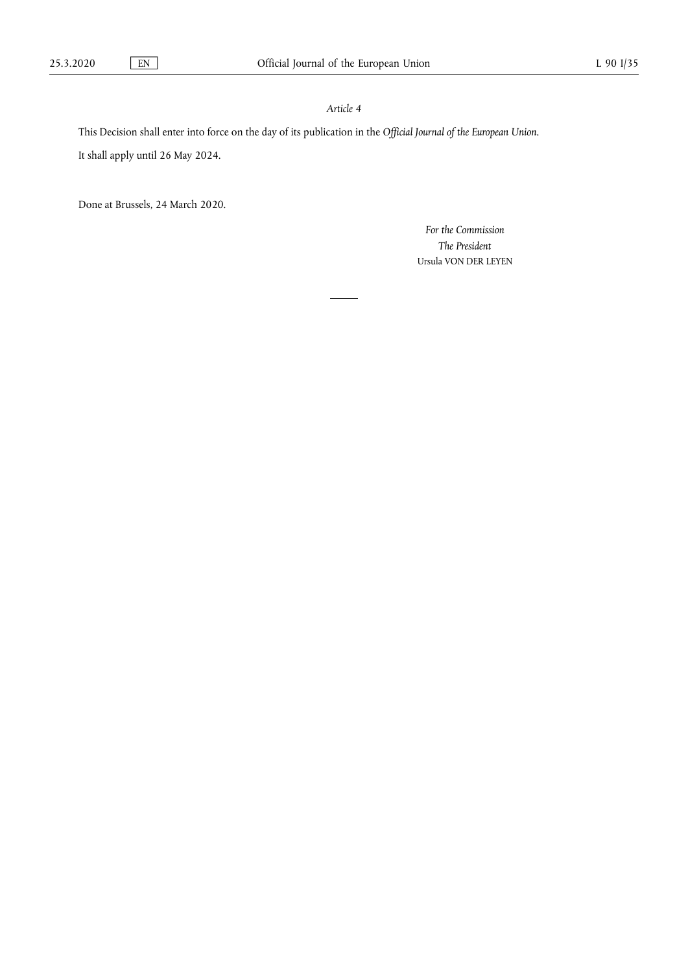# *Article 4*

This Decision shall enter into force on the day of its publication in the *Official Journal of the European Union*.

It shall apply until 26 May 2024.

Done at Brussels, 24 March 2020.

*For the Commission The President*  Ursula VON DER LEYEN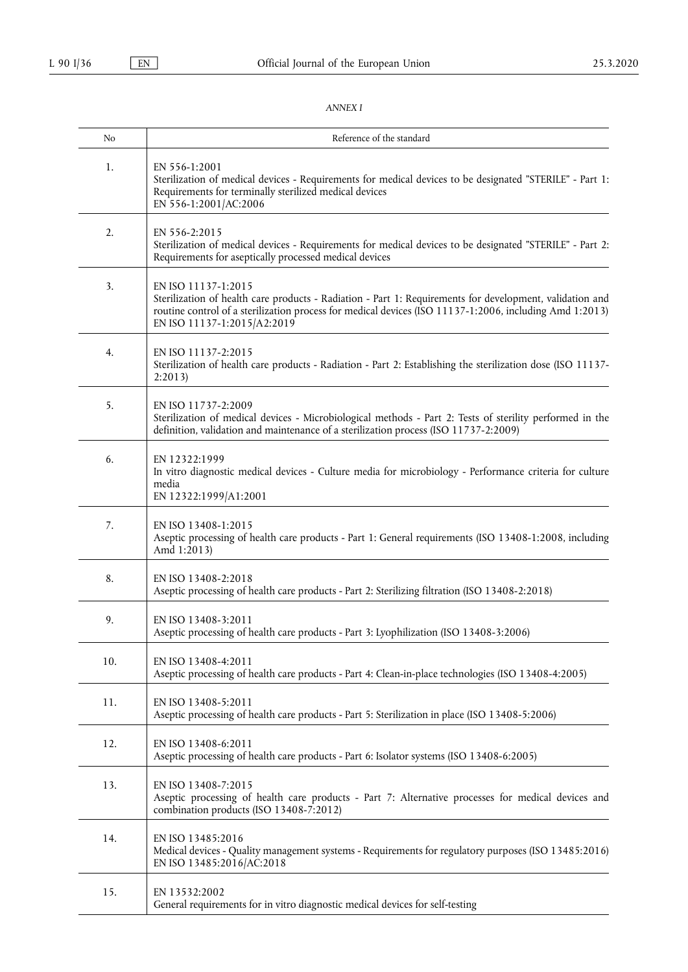## *ANNEX I*

| No  | Reference of the standard                                                                                                                                                                                                                                                 |
|-----|---------------------------------------------------------------------------------------------------------------------------------------------------------------------------------------------------------------------------------------------------------------------------|
| 1.  | EN 556-1:2001<br>Sterilization of medical devices - Requirements for medical devices to be designated "STERILE" - Part 1:<br>Requirements for terminally sterilized medical devices<br>EN 556-1:2001/AC:2006                                                              |
| 2.  | EN 556-2:2015<br>Sterilization of medical devices - Requirements for medical devices to be designated "STERILE" - Part 2:<br>Requirements for aseptically processed medical devices                                                                                       |
| 3.  | EN ISO 11137-1:2015<br>Sterilization of health care products - Radiation - Part 1: Requirements for development, validation and<br>routine control of a sterilization process for medical devices (ISO 11137-1:2006, including Amd 1:2013)<br>EN ISO 11137-1:2015/A2:2019 |
| 4.  | EN ISO 11137-2:2015<br>Sterilization of health care products - Radiation - Part 2: Establishing the sterilization dose (ISO 11137-<br>2:2013                                                                                                                              |
| 5.  | EN ISO 11737-2:2009<br>Sterilization of medical devices - Microbiological methods - Part 2: Tests of sterility performed in the<br>definition, validation and maintenance of a sterilization process (ISO 11737-2:2009)                                                   |
| 6.  | EN 12322:1999<br>In vitro diagnostic medical devices - Culture media for microbiology - Performance criteria for culture<br>media<br>EN 12322:1999/A1:2001                                                                                                                |
| 7.  | EN ISO 13408-1:2015<br>Aseptic processing of health care products - Part 1: General requirements (ISO 13408-1:2008, including<br>Amd 1:2013)                                                                                                                              |
| 8.  | EN ISO 13408-2:2018<br>Aseptic processing of health care products - Part 2: Sterilizing filtration (ISO 13408-2:2018)                                                                                                                                                     |
| 9.  | EN ISO 13408-3:2011<br>Aseptic processing of health care products - Part 3: Lyophilization (ISO 13408-3:2006)                                                                                                                                                             |
| 10. | EN ISO 13408-4:2011<br>Aseptic processing of health care products - Part 4: Clean-in-place technologies (ISO 13408-4:2005)                                                                                                                                                |
| 11. | EN ISO 13408-5:2011<br>Aseptic processing of health care products - Part 5: Sterilization in place (ISO 13408-5:2006)                                                                                                                                                     |
| 12. | EN ISO 13408-6:2011<br>Aseptic processing of health care products - Part 6: Isolator systems (ISO 13408-6:2005)                                                                                                                                                           |
| 13. | EN ISO 13408-7:2015<br>Aseptic processing of health care products - Part 7: Alternative processes for medical devices and<br>combination products (ISO 13408-7:2012)                                                                                                      |
| 14. | EN ISO 13485:2016<br>Medical devices - Quality management systems - Requirements for regulatory purposes (ISO 13485:2016)<br>EN ISO 13485:2016/AC:2018                                                                                                                    |
| 15. | EN 13532:2002<br>General requirements for in vitro diagnostic medical devices for self-testing                                                                                                                                                                            |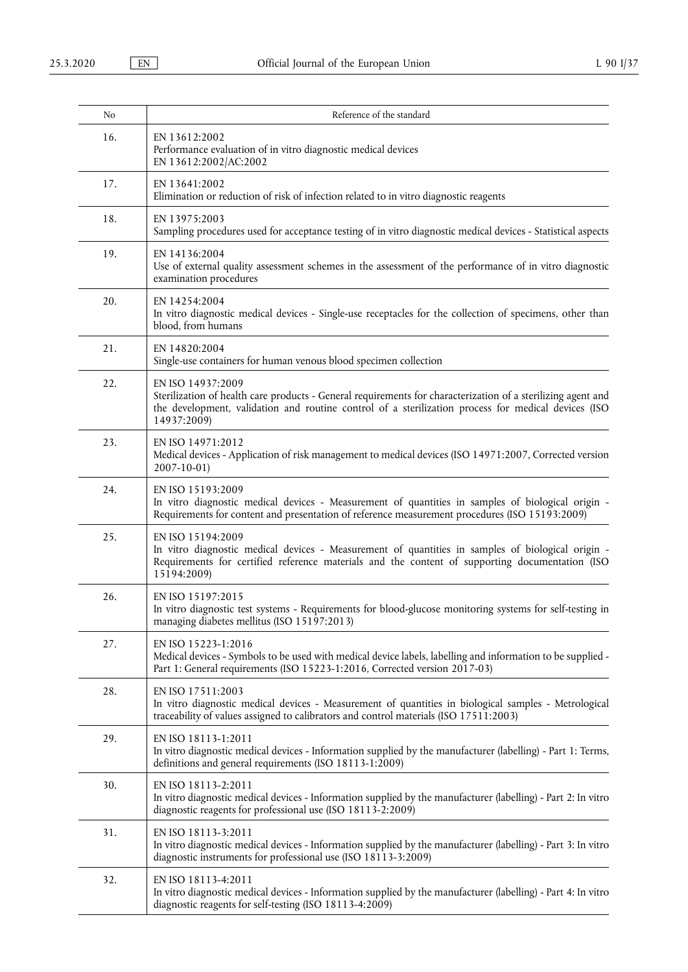| No  | Reference of the standard                                                                                                                                                                                                                               |
|-----|---------------------------------------------------------------------------------------------------------------------------------------------------------------------------------------------------------------------------------------------------------|
| 16. | EN 13612:2002<br>Performance evaluation of in vitro diagnostic medical devices<br>EN 13612:2002/AC:2002                                                                                                                                                 |
| 17. | EN 13641:2002<br>Elimination or reduction of risk of infection related to in vitro diagnostic reagents                                                                                                                                                  |
| 18. | EN 13975:2003<br>Sampling procedures used for acceptance testing of in vitro diagnostic medical devices - Statistical aspects                                                                                                                           |
| 19. | EN 14136:2004<br>Use of external quality assessment schemes in the assessment of the performance of in vitro diagnostic<br>examination procedures                                                                                                       |
| 20. | EN 14254:2004<br>In vitro diagnostic medical devices - Single-use receptacles for the collection of specimens, other than<br>blood, from humans                                                                                                         |
| 21. | EN 14820:2004<br>Single-use containers for human venous blood specimen collection                                                                                                                                                                       |
| 22. | EN ISO 14937:2009<br>Sterilization of health care products - General requirements for characterization of a sterilizing agent and<br>the development, validation and routine control of a sterilization process for medical devices (ISO<br>14937:2009) |
| 23. | EN ISO 14971:2012<br>Medical devices - Application of risk management to medical devices (ISO 14971:2007, Corrected version<br>$2007 - 10 - 01$                                                                                                         |
| 24. | EN ISO 15193:2009<br>In vitro diagnostic medical devices - Measurement of quantities in samples of biological origin -<br>Requirements for content and presentation of reference measurement procedures (ISO 15193:2009)                                |
| 25. | EN ISO 15194:2009<br>In vitro diagnostic medical devices - Measurement of quantities in samples of biological origin -<br>Requirements for certified reference materials and the content of supporting documentation (ISO<br>15194:2009)                |
| 26. | EN ISO 15197:2015<br>In vitro diagnostic test systems - Requirements for blood-glucose monitoring systems for self-testing in<br>managing diabetes mellitus (ISO 15197:2013)                                                                            |
| 27. | EN ISO 15223-1:2016<br>Medical devices - Symbols to be used with medical device labels, labelling and information to be supplied -<br>Part 1: General requirements (ISO 15223-1:2016, Corrected version 2017-03)                                        |
| 28. | EN ISO 17511:2003<br>In vitro diagnostic medical devices - Measurement of quantities in biological samples - Metrological<br>traceability of values assigned to calibrators and control materials (ISO 17511:2003)                                      |
| 29. | EN ISO 18113-1:2011<br>In vitro diagnostic medical devices - Information supplied by the manufacturer (labelling) - Part 1: Terms,<br>definitions and general requirements (ISO 18113-1:2009)                                                           |
| 30. | EN ISO 18113-2:2011<br>In vitro diagnostic medical devices - Information supplied by the manufacturer (labelling) - Part 2: In vitro<br>diagnostic reagents for professional use (ISO 18113-2:2009)                                                     |
| 31. | EN ISO 18113-3:2011<br>In vitro diagnostic medical devices - Information supplied by the manufacturer (labelling) - Part 3: In vitro<br>diagnostic instruments for professional use (ISO 18113-3:2009)                                                  |
| 32. | EN ISO 18113-4:2011<br>In vitro diagnostic medical devices - Information supplied by the manufacturer (labelling) - Part 4: In vitro<br>diagnostic reagents for self-testing (ISO 18113-4:2009)                                                         |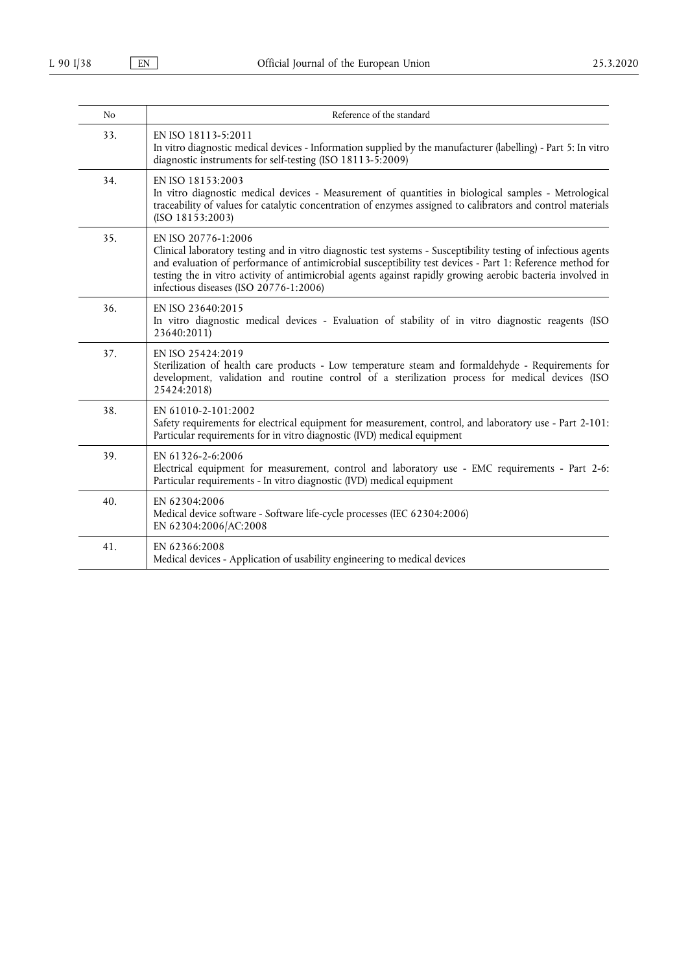| N <sub>o</sub> | Reference of the standard                                                                                                                                                                                                                                                                                                                                                                                  |
|----------------|------------------------------------------------------------------------------------------------------------------------------------------------------------------------------------------------------------------------------------------------------------------------------------------------------------------------------------------------------------------------------------------------------------|
| 33.            | EN ISO 18113-5:2011<br>In vitro diagnostic medical devices - Information supplied by the manufacturer (labelling) - Part 5: In vitro<br>diagnostic instruments for self-testing (ISO 18113-5:2009)                                                                                                                                                                                                         |
| 34.            | EN ISO 18153:2003<br>In vitro diagnostic medical devices - Measurement of quantities in biological samples - Metrological<br>traceability of values for catalytic concentration of enzymes assigned to calibrators and control materials<br>(ISO 18153:2003)                                                                                                                                               |
| 35.            | EN ISO 20776-1:2006<br>Clinical laboratory testing and in vitro diagnostic test systems - Susceptibility testing of infectious agents<br>and evaluation of performance of antimicrobial susceptibility test devices - Part 1: Reference method for<br>testing the in vitro activity of antimicrobial agents against rapidly growing aerobic bacteria involved in<br>infectious diseases (ISO 20776-1:2006) |
| 36.            | EN ISO 23640:2015<br>In vitro diagnostic medical devices - Evaluation of stability of in vitro diagnostic reagents (ISO<br>23640:2011)                                                                                                                                                                                                                                                                     |
| 37.            | EN ISO 25424:2019<br>Sterilization of health care products - Low temperature steam and formaldehyde - Requirements for<br>development, validation and routine control of a sterilization process for medical devices (ISO<br>25424:2018)                                                                                                                                                                   |
| 38.            | EN 61010-2-101:2002<br>Safety requirements for electrical equipment for measurement, control, and laboratory use - Part 2-101:<br>Particular requirements for in vitro diagnostic (IVD) medical equipment                                                                                                                                                                                                  |
| 39.            | EN 61326-2-6:2006<br>Electrical equipment for measurement, control and laboratory use - EMC requirements - Part 2-6:<br>Particular requirements - In vitro diagnostic (IVD) medical equipment                                                                                                                                                                                                              |
| 40.            | EN 62304:2006<br>Medical device software - Software life-cycle processes (IEC 62304:2006)<br>EN 62304:2006/AC:2008                                                                                                                                                                                                                                                                                         |
| 41.            | EN 62366:2008<br>Medical devices - Application of usability engineering to medical devices                                                                                                                                                                                                                                                                                                                 |